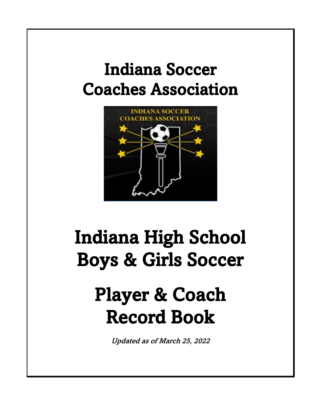## Indiana Soccer Coaches Association



## Indiana High School Boys & Girls Soccer

# Player & Coach Record Book

Updated as of March 25, 2022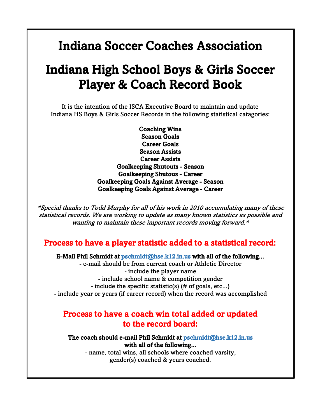### Indiana Soccer Coaches Association

### Indiana High School Boys & Girls Soccer Player & Coach Record Book

It is the intention of the ISCA Executive Board to maintain and update Indiana HS Boys & Girls Soccer Records in the following statistical catagories:

> Coaching Wins Season Goals Career Goals Season Assists Career Assists Goalkeeping Shutouts - Season Goalkeeping Shutous - Career Goalkeeping Goals Against Average - Season Goalkeeping Goals Against Average - Career

\*Special thanks to Todd Murphy for all of his work in 2010 accumulating many of these statistical records. We are working to update as many known statistics as possible and wanting to maintain these important records moving forward.\*

#### Process to have a player statistic added to a statistical record:

E-Mail Phil Schmidt at pschmidt@hse.k12.in.us with all of the following...

- e-mail should be from current coach or Athletic Director - include the player name - include school name & competition gender - include the specific statistic(s) (# of goals, etc...)

- include year or years (if career record) when the record was accomplished

#### Process to have a coach win total added or updated to the record board:

The coach should e-mail Phil Schmidt at pschmidt@hse.k12.in.us with all of the following...

- name, total wins, all schools where coached varsity, gender(s) coached & years coached.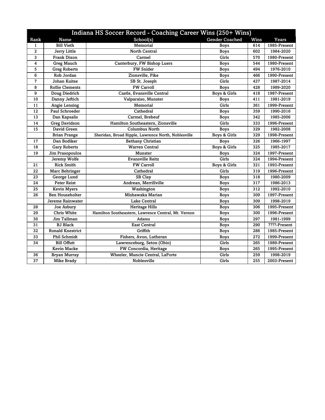|              |                         | Indiana HS Soccer Record - Coaching Career Wins (250+ Wins) |                       |      |              |
|--------------|-------------------------|-------------------------------------------------------------|-----------------------|------|--------------|
| Rank         | Name                    | School(s)                                                   | <b>Gender Coached</b> | Wins | Years        |
| 1            | <b>Bill Vieth</b>       | Memorial                                                    | <b>Boys</b>           | 614  | 1985-Present |
| $\mathbf{2}$ | <b>Jerry Little</b>     | <b>North Central</b>                                        | <b>Boys</b>           | 602  | 1984-2020    |
| 3            | Frank Dixon             | Carmel                                                      | Girls                 | 570  | 1980-Present |
| 4            | <b>Greg Mauch</b>       | Canterbury, FW Bishop Luers                                 | <b>Boys</b>           | 544  | 1980-Present |
| 5            | <b>Greg Roberts</b>     | <b>FW Snider</b>                                            | <b>Boys</b>           | 494  | 1976-2010    |
| 6            | Rob Jordan              | Zionsville, Pike                                            | <b>Boys</b>           | 466  | 1990-Present |
| 7            | Johan Kuitse            | SB St. Joseph                                               | Girls                 | 437  | 1987-2014    |
| 8            | <b>Rollie Clements</b>  | <b>FW Carroll</b>                                           | <b>Boys</b>           | 428  | 1989-2020    |
| 9            | Doug Diedrich           | Castle, Evansville Central                                  | Boys & Girls          | 418  | 1987-Present |
| 10           | Danny Jeftich           | Valparaiso, Munster                                         | <b>Boys</b>           | 411  | 1981-2019    |
| 11           | Angie Lensing           | Memorial                                                    | Girls                 | 361  | 1999-Present |
| 12           | Paul Schroeder          | Cathedral                                                   | <b>Boys</b>           | 359  | 1990-2016    |
| 13           | Dan Kapsalis            | Carmel, Brebeuf                                             | <b>Boys</b>           | 342  | 1985-2006    |
| 14           | <b>Greg Davidson</b>    | Hamilton Southeastern, Zionsville                           | Girls                 | 333  | 1996-Present |
| 15           | David Green             | <b>Columbus North</b>                                       | <b>Boys</b>           | 329  | 1982-2008    |
|              | <b>Brian Prange</b>     | Sheridan, Broad Ripple, Lawrence North, Noblesville         | Boys & Girls          | 329  | 1998-Present |
| 17           | Dan Bodiker             | <b>Bethany Christian</b>                                    | <b>Boys</b>           | 326  | 1966-1997    |
| 18           | <b>Gary Roberts</b>     | <b>Warren Central</b>                                       | Boys & Girls          | 325  | 1985-2017    |
| 19           | <b>Jim Prasopoulos</b>  | <b>Munster</b>                                              | <b>Boys</b>           | 324  | 1997-Present |
|              | Jeremy Wolfe            | <b>Evansville Reitz</b>                                     | Girls                 | 324  | 1994-Present |
| 21           | <b>Rick Smith</b>       | <b>FW Carroll</b>                                           | Boys & Girls          | 321  | 1993-Present |
| 22           | Marc Behringer          | Cathedral                                                   | Girls                 | 319  | 1996-Present |
| 23           | George Lund             | SB Clay                                                     | <b>Boys</b>           | 318  | 1980-2009    |
| 24           | <b>Peter Reist</b>      | Andrean, Merrillville                                       | <b>Boys</b>           | 317  | 1986-2013    |
| 25           | <b>Kevin Myers</b>      | Washington                                                  | <b>Boys</b>           | 312  | 1992-2010    |
| 26           | <b>Ben Householter</b>  | Mishawaka Marian                                            | <b>Boys</b>           | 309  | 1997-Present |
|              | Jereme Rainwater        | <b>Lake Central</b>                                         | <b>Boys</b>           | 309  | 1998-2019    |
| 28           | Joe Asbury              | <b>Heritage Hills</b>                                       | <b>Boys</b>           | 306  | 1995-Present |
| 29           | <b>Chris White</b>      | Hamilton Southeastern, Lawrence Central, Mt. Vernon         | <b>Boys</b>           | 300  | 1996-Present |
| 30           | Jim Tallman             | Adams                                                       | <b>Boys</b>           | 297  | 1981-1999    |
| 31           | <b>BJ</b> Black         | <b>East Central</b>                                         | <b>Boys</b>           | 290  | ????-Present |
| 32           | <b>Ronald Knestrict</b> | Griffith                                                    | <b>Boys</b>           | 286  | 1985-Present |
| 33           | <b>Phil Schmidt</b>     | Fishers, Avon, Lutheran                                     | <b>Boys</b>           | 272  | 1999-Present |
| 34           | <b>Bill Offutt</b>      | Lawrenceburg, Seton (Ohio)                                  | Girls                 | 265  | 1989-Present |
|              | <b>Kevin Macke</b>      | FW Concordia, Heritage                                      | <b>Boys</b>           | 265  | 1995-Present |
| 36           | <b>Bryan Murray</b>     | Wheeler, Muncie Central, LaPorte                            | Girls                 | 259  | 1998-2019    |
| 37           | <b>Mike Brady</b>       | Noblesville                                                 | Girls                 | 255  | 2003-Present |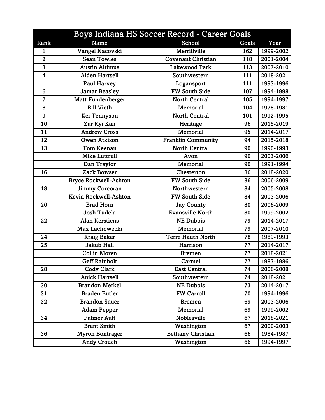|                | <b>Boys Indiana HS Soccer Record - Career Goals</b> |                           |       |           |  |  |  |
|----------------|-----------------------------------------------------|---------------------------|-------|-----------|--|--|--|
| Rank           | <b>Name</b>                                         | School                    | Goals | Year      |  |  |  |
| 1              | Vangel Nacovski                                     | Merrillville              | 162   | 1999-2002 |  |  |  |
| $\overline{2}$ | <b>Sean Towles</b>                                  | <b>Covenant Christian</b> | 118   | 2001-2004 |  |  |  |
| 3              | <b>Austin Altimus</b>                               | <b>Lakewood Park</b>      | 113   | 2007-2010 |  |  |  |
| $\overline{4}$ | <b>Aiden Hartsell</b>                               | Southwestern              | 111   | 2018-2021 |  |  |  |
|                | <b>Paul Harvey</b>                                  | Logansport                | 111   | 1993-1996 |  |  |  |
| 6              | <b>Jamar Beasley</b>                                | <b>FW South Side</b>      | 107   | 1994-1998 |  |  |  |
| $\overline{7}$ | <b>Matt Fundenberger</b>                            | <b>North Central</b>      | 105   | 1994-1997 |  |  |  |
| 8              | <b>Bill Vieth</b>                                   | <b>Memorial</b>           | 104   | 1978-1981 |  |  |  |
| 9              | Kei Tennyson                                        | <b>North Central</b>      | 101   | 1992-1995 |  |  |  |
| 10             | Zar Kyi Kan                                         | Heritage                  | 96    | 2015-2019 |  |  |  |
| 11             | <b>Andrew Cross</b>                                 | <b>Memorial</b>           | 95    | 2014-2017 |  |  |  |
| 12             | Owen Atkison                                        | <b>Franklin Community</b> | 94    | 2015-2018 |  |  |  |
| 13             | <b>Tom Keenan</b>                                   | <b>North Central</b>      | 90    | 1990-1993 |  |  |  |
|                | <b>Mike Luttrull</b>                                | Avon                      | 90    | 2003-2006 |  |  |  |
|                | Dan Traylor                                         | <b>Memorial</b>           | 90    | 1991-1994 |  |  |  |
| 16             | <b>Zack Bowser</b>                                  | Chesterton                | 86    | 2018-2020 |  |  |  |
|                | <b>Bryce Rockwell-Ashton</b>                        | <b>FW South Side</b>      | 86    | 2006-2009 |  |  |  |
| 18             | <b>Jimmy Corcoran</b>                               | Northwestern              | 84    | 2005-2008 |  |  |  |
|                | Kevin Rockwell-Ashton                               | <b>FW South Side</b>      | 84    | 2003-2006 |  |  |  |
| 20             | <b>Brad Horn</b>                                    | <b>Jay County</b>         | 80    | 2006-2009 |  |  |  |
|                | <b>Josh Tudela</b>                                  | <b>Evansville North</b>   | 80    | 1999-2002 |  |  |  |
| 22             | <b>Alan Kerstiens</b>                               | <b>NE Dubois</b>          | 79    | 2014-2017 |  |  |  |
|                | Max Lachowecki                                      | <b>Memorial</b>           | 79    | 2007-2010 |  |  |  |
| 24             | <b>Kraig Baker</b>                                  | <b>Terre Hauth North</b>  | 78    | 1989-1993 |  |  |  |
| 25             | <b>Jakub Hall</b>                                   | Harrison                  | 77    | 2014-2017 |  |  |  |
|                | <b>Collin Moren</b>                                 | <b>Bremen</b>             | 77    | 2018-2021 |  |  |  |
|                | <b>Geff Rainbolt</b>                                | Carmel                    | 77    | 1983-1986 |  |  |  |
| 28             | <b>Cody Clark</b>                                   | <b>East Central</b>       | 74    | 2006-2008 |  |  |  |
|                | <b>Anick Hartsell</b>                               | Southwestern              | 74    | 2018-2021 |  |  |  |
| 30             | <b>Brandon Merkel</b>                               | <b>NE Dubois</b>          | 73    | 2014-2017 |  |  |  |
| 31             | <b>Braden Butler</b>                                | <b>FW Carroll</b>         | 70    | 1994-1996 |  |  |  |
| 32             | <b>Brandon Sauer</b>                                | <b>Bremen</b>             | 69    | 2003-2006 |  |  |  |
|                | <b>Adam Pepper</b>                                  | <b>Memorial</b>           | 69    | 1999-2002 |  |  |  |
| 34             | <b>Palmer Ault</b>                                  | <b>Noblesville</b>        | 67    | 2018-2021 |  |  |  |
|                | <b>Brent Smith</b>                                  | Washington                | 67    | 2000-2003 |  |  |  |
| 36             | <b>Myron Bontrager</b>                              | <b>Bethany Christian</b>  | 66    | 1984-1987 |  |  |  |
|                | <b>Andy Crouch</b>                                  | Washington                | 66    | 1994-1997 |  |  |  |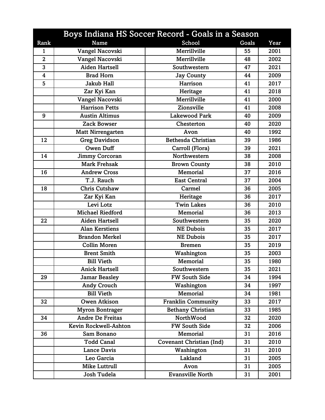| Rank           | <b>Name</b>              | Boys Indiana HS Soccer Record - Goals in a Season<br>School | Goals | Year |
|----------------|--------------------------|-------------------------------------------------------------|-------|------|
| 1              | Vangel Nacovski          | Merrillville                                                | 55    | 2001 |
| $\overline{2}$ | Vangel Nacovski          | Merrillville                                                | 48    | 2002 |
| 3              | <b>Aiden Hartsell</b>    | Southwestern                                                | 47    | 2021 |
| 4              | <b>Brad Horn</b>         | <b>Jay County</b>                                           | 44    | 2009 |
| 5              | <b>Jakub Hall</b>        | Harrison                                                    | 41    | 2017 |
|                | Zar Kyi Kan              | Heritage                                                    | 41    | 2018 |
|                | Vangel Nacovski          | Merrillville                                                | 41    | 2000 |
|                | <b>Harrison Petts</b>    | Zionsville                                                  | 41    | 2008 |
| 9              | <b>Austin Altimus</b>    | <b>Lakewood Park</b>                                        | 40    | 2009 |
|                | <b>Zack Bowser</b>       | Chesterton                                                  | 40    | 2020 |
|                | <b>Matt Nirrengarten</b> | Avon                                                        | 40    | 1992 |
| 12             | <b>Greg Davidson</b>     | <b>Bethesda Christian</b>                                   | 39    | 1986 |
|                | <b>Owen Duff</b>         | Carroll (Flora)                                             | 39    | 2021 |
| 14             | Jimmy Corcoran           | Northwestern                                                | 38    | 2008 |
|                | <b>Mark Frehsak</b>      | <b>Brown County</b>                                         | 38    | 2010 |
| 16             | <b>Andrew Cross</b>      | <b>Memorial</b>                                             | 37    | 2016 |
|                | T.J. Rauch               | <b>East Central</b>                                         | 37    | 2004 |
| 18             | Chris Cutshaw            | Carmel                                                      | 36    | 2005 |
|                | Zar Kyi Kan              | Heritage                                                    | 36    | 2017 |
|                | Levi Lotz                | <b>Twin Lakes</b>                                           | 36    | 2010 |
|                | <b>Michael Riedford</b>  | <b>Memorial</b>                                             | 36    | 2013 |
| 22             | <b>Aiden Hartsell</b>    | Southwestern                                                | 35    | 2020 |
|                | Alan Kerstiens           | <b>NE Dubois</b>                                            | 35    | 2017 |
|                | <b>Brandon Merkel</b>    | <b>NE Dubois</b>                                            | 35    | 2017 |
|                | <b>Collin Moren</b>      | <b>Bremen</b>                                               | 35    | 2019 |
|                | <b>Brent Smith</b>       | Washington                                                  | 35    | 2003 |
|                | <b>Bill Vieth</b>        | <b>Memorial</b>                                             | 35    | 1980 |
|                | <b>Anick Hartsell</b>    | Southwestern                                                | 35    | 2021 |
| 29             | <b>Jamar Beasley</b>     | <b>FW South Side</b>                                        | 34    | 1994 |
|                | <b>Andy Crouch</b>       | Washington                                                  | 34    | 1997 |
|                | <b>Bill Vieth</b>        | <b>Memorial</b>                                             | 34    | 1981 |
| 32             | Owen Atkison             | <b>Franklin Community</b>                                   | 33    | 2017 |
|                | <b>Myron Bontrager</b>   | <b>Bethany Christian</b>                                    | 33    | 1985 |
| 34             | <b>Andre De Freitas</b>  | <b>NorthWood</b>                                            | 32    | 2020 |
|                | Kevin Rockwell-Ashton    | <b>FW South Side</b>                                        | 32    | 2006 |
| 36             | Sam Bonano               | <b>Memorial</b>                                             | 31    | 2016 |
|                | <b>Todd Canal</b>        | <b>Covenant Christian (Ind)</b>                             | 31    | 2010 |
|                | <b>Lance Davis</b>       | Washington                                                  | 31    | 2010 |
|                | Leo Garcia               | Lakland                                                     | 31    | 2005 |
|                | <b>Mike Luttrull</b>     | Avon                                                        | 31    | 2005 |
|                | Josh Tudela              | <b>Evansville North</b>                                     | 31    | 2001 |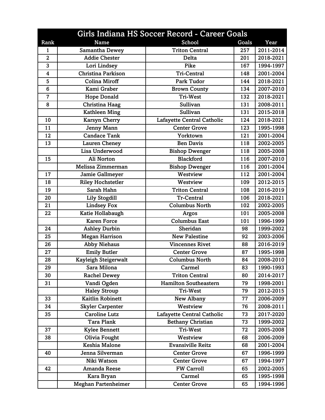|                | Girls Indiana HS Soccer Record - Career Goals |                              |       |           |  |  |  |
|----------------|-----------------------------------------------|------------------------------|-------|-----------|--|--|--|
| Rank           | <b>Name</b>                                   | School                       | Goals | Year      |  |  |  |
| 1              | Samantha Dewey                                | <b>Triton Central</b>        | 257   | 2011-2014 |  |  |  |
| $\overline{2}$ | <b>Addie Chester</b>                          | Delta                        | 201   | 2018-2021 |  |  |  |
| 3              | Lori Lindsey                                  | Pike                         | 167   | 1994-1997 |  |  |  |
| 4              | <b>Christina Parkison</b>                     | Tri-Central                  | 148   | 2001-2004 |  |  |  |
| 5              | <b>Colina Miroff</b>                          | <b>Park Tudor</b>            | 144   | 2018-2021 |  |  |  |
| $6\phantom{1}$ | Kami Graber                                   | <b>Brown County</b>          | 134   | 2007-2010 |  |  |  |
| $\overline{7}$ | <b>Hope Donald</b>                            | <b>Tri-West</b>              | 132   | 2018-2021 |  |  |  |
| 8              | Christina Haag                                | Sullivan                     | 131   | 2008-2011 |  |  |  |
|                | <b>Kathleen Ming</b>                          | Sullivan                     | 131   | 2015-2018 |  |  |  |
| 10             | <b>Karsyn Cherry</b>                          | Lafayette Central Catholic   | 124   | 2018-2021 |  |  |  |
| 11             | Jenny Mann                                    | <b>Center Grove</b>          | 123   | 1995-1998 |  |  |  |
| 12             | <b>Candace Tank</b>                           | Yorktown                     | 121   | 2001-2004 |  |  |  |
| 13             | <b>Lauren Cheney</b>                          | <b>Ben Davis</b>             | 118   | 2002-2005 |  |  |  |
|                | Lisa Underwood                                | <b>Bishop Dwenger</b>        | 118   | 2005-2008 |  |  |  |
| 15             | Ali Norton                                    | <b>Blackford</b>             | 116   | 2007-2010 |  |  |  |
|                | Melissa Zimmerman                             | <b>Bishop Dwenger</b>        | 116   | 2001-2004 |  |  |  |
| 17             | Jamie Gallmeyer                               | Westview                     | 112   | 2001-2004 |  |  |  |
| 18             | <b>Riley Hochstetler</b>                      | Westview                     | 109   | 2012-2015 |  |  |  |
| 19             | Sarah Hahn                                    | <b>Triton Central</b>        | 108   | 2016-2019 |  |  |  |
| 20             | <b>Lily Stogdill</b>                          | <b>Tr-Central</b>            | 106   | 2018-2021 |  |  |  |
| 21             | <b>Lindsey Fox</b>                            | <b>Columbus North</b>        | 102   | 2002-2005 |  |  |  |
| 22             | Katie Hollabaugh                              | <b>Argos</b>                 | 101   | 2005-2008 |  |  |  |
|                | <b>Karen Force</b>                            | <b>Columbus East</b>         | 101   | 1996-1999 |  |  |  |
| 24             | <b>Ashley Durbin</b>                          | Sheridan                     | 98    | 1999-2002 |  |  |  |
| 25             | <b>Megan Harrison</b>                         | <b>New Palestine</b>         | 92    | 2003-2006 |  |  |  |
| 26             | <b>Abby Niehaus</b>                           | <b>Vincennes Rivet</b>       | 88    | 2016-2019 |  |  |  |
| 27             | <b>Emily Butler</b>                           | <b>Center Grove</b>          | 87    | 1995-1998 |  |  |  |
| 28             | Kayleigh Steigerwalt                          | <b>Columbus North</b>        | 84    | 2008-2010 |  |  |  |
| 29             | Sara Milona                                   | Carmel                       | 83    | 1990-1993 |  |  |  |
| 30             | <b>Rachel Dewey</b>                           | <b>Triton Central</b>        | 80    | 2014-2017 |  |  |  |
| 31             | Vandi Ogden                                   | <b>Hamilton Southeastern</b> | 79    | 1998-2001 |  |  |  |
|                | <b>Haley Stroup</b>                           | <b>Tri-West</b>              | 79    | 2012-2015 |  |  |  |
| 33             | <b>Kaitlin Robinett</b>                       | <b>New Albany</b>            | 77    | 2006-2009 |  |  |  |
| 34             | <b>Skyler Carpenter</b>                       | Westview                     | 76    | 2008-2011 |  |  |  |
| 35             | <b>Caroline Lutz</b>                          | Lafayette Central Catholic   | 73    | 2017-2020 |  |  |  |
|                | <b>Tara Plank</b>                             | <b>Bethany Christian</b>     | 73    | 1999-2002 |  |  |  |
| 37             | <b>Kylee Bennett</b>                          | <b>Tri-West</b>              | 72    | 2005-2008 |  |  |  |
| 38             | Olivia Fought                                 | Westview                     | 68    | 2006-2009 |  |  |  |
|                | Keshia Malone                                 | <b>Evansiville Reitz</b>     | 68    | 2001-2004 |  |  |  |
| 40             | Jenna Silverman                               | <b>Center Grove</b>          | 67    | 1996-1999 |  |  |  |
|                | Niki Watson                                   | <b>Center Grove</b>          | 67    | 1994-1997 |  |  |  |
| 42             | <b>Amanda Reese</b>                           | <b>FW Carroll</b>            | 65    | 2002-2005 |  |  |  |
|                | Kara Bryan                                    | Carmel                       | 65    | 1995-1998 |  |  |  |
|                | <b>Meghan Partenheimer</b>                    | <b>Center Grove</b>          | 65    | 1994-1996 |  |  |  |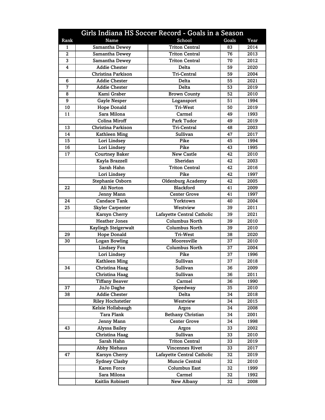|                | Girls Indiana HS Soccer Record - Goals in a Season |                            |       |      |  |  |
|----------------|----------------------------------------------------|----------------------------|-------|------|--|--|
| Rank           | Name                                               | School                     | Goals | Year |  |  |
| 1              | <b>Samantha Dewey</b>                              | <b>Triton Central</b>      | 83    | 2014 |  |  |
| $\overline{2}$ | Samantha Dewey                                     | <b>Triton Central</b>      | 76    | 2013 |  |  |
| 3              | Samantha Dewey                                     | <b>Triton Central</b>      | 70    | 2012 |  |  |
| 4              | <b>Addie Chester</b>                               | <b>Delta</b>               | 59    | 2020 |  |  |
|                | Christina Parkison                                 | Tri-Central                | 59    | 2004 |  |  |
| 6              | <b>Addie Chester</b>                               | Delta                      | 55    | 2021 |  |  |
| 7              | <b>Addie Chester</b>                               | Delta                      | 53    | 2019 |  |  |
| 8              | Kami Graber                                        | <b>Brown County</b>        | 52    | 2010 |  |  |
| 9              | <b>Gayle Nesper</b>                                | Logansport                 | 51    | 1994 |  |  |
| 10             | <b>Hope Donald</b>                                 | <b>Tri-West</b>            | 50    | 2019 |  |  |
| 11             | Sara Milona                                        | Carmel                     | 49    | 1993 |  |  |
|                | <b>Colina Miroff</b>                               | Park Tudor                 | 49    | 2019 |  |  |
| 13             | Christina Parkison                                 | Tri-Central                | 48    | 2003 |  |  |
| 14             | <b>Kathleen Ming</b>                               | Sullivan                   | 47    | 2017 |  |  |
| 15             | Lori Lindsey                                       | Pike                       | 45    | 1994 |  |  |
| 16             | Lori Lindsey                                       | Pike                       | 43    | 1995 |  |  |
| 17             | <b>Courtney Baker</b>                              | <b>New Castle</b>          | 42    | 2010 |  |  |
|                | Kayla Brazzell                                     | Sheridan                   | 42    | 2003 |  |  |
|                | Sarah Hahn                                         | <b>Triton Central</b>      | 42    | 2016 |  |  |
|                | Lori Lindsey                                       | Pike                       | 42    | 1997 |  |  |
|                | Stephanie Osborn                                   | <b>Oldenburg Academy</b>   | 42    | 2005 |  |  |
| 22             | Ali Norton                                         | <b>Blackford</b>           | 41    | 2009 |  |  |
|                | Jenny Mann                                         | <b>Center Grove</b>        | 41    | 1997 |  |  |
| 24             | <b>Candace Tank</b>                                | Yorktown                   | 40    | 2004 |  |  |
| 25             | <b>Skyler Carpenter</b>                            | Westview                   | 39    | 2011 |  |  |
|                | <b>Karsyn Cherry</b>                               | Lafayette Central Catholic | 39    | 2021 |  |  |
|                | <b>Heather Jones</b>                               | <b>Columbus North</b>      | 39    | 2010 |  |  |
|                | Kayliegh Steigerwalt                               | <b>Columbus North</b>      | 39    | 2010 |  |  |
| 29             | <b>Hope Donald</b>                                 | Tri-West                   | 38    | 2020 |  |  |
| 30             | <b>Logan Bowling</b>                               | Mooresville                | 37    | 2010 |  |  |
|                | <b>Lindsey Fox</b>                                 | <b>Columbus North</b>      | 37    | 2004 |  |  |
|                | Lori Lindsey                                       | Pike                       | 37    | 1996 |  |  |
|                | <b>Kathleen Ming</b>                               | Sullivan                   | 37    | 2018 |  |  |
| 34             | Christina Haag                                     | Sullivan                   | 36    | 2009 |  |  |
|                | Christina Haag                                     | Sullivan                   | 36    | 2011 |  |  |
|                | <b>Tiffany Beaver</b>                              | Carmel                     | 36    | 1990 |  |  |
| 37             | JoJo Daghe                                         | Speedway                   | 35    | 2010 |  |  |
| 38             | <b>Addie Chester</b>                               | Delta                      | 34    | 2018 |  |  |
|                | <b>Riley Hochstetler</b>                           | Westview                   | 34    | 2015 |  |  |
|                | Kelsie Hollabaugh                                  | Argos                      | 34    | 2008 |  |  |
|                | Tara Plank                                         | <b>Bethany Christian</b>   | 34    | 2001 |  |  |
|                | Jenny Mann                                         | <b>Center Grove</b>        | 34    | 1998 |  |  |
| 43             | Alyssa Bailey                                      | Argos                      | 33    | 2002 |  |  |
|                | Christina Haag                                     | Sullivan                   | 33    | 2010 |  |  |
|                | Sarah Hahn                                         | <b>Triton Central</b>      | 33    | 2019 |  |  |
|                | <b>Abby Niehaus</b>                                | <b>Vincennes Rivet</b>     | 33    | 2017 |  |  |
| 47             | Karsyn Cherry                                      | Lafayette Central Catholic | 32    | 2019 |  |  |
|                | Sydney Clasby                                      | <b>Muncie Central</b>      | 32    | 2010 |  |  |
|                | Karen Force                                        | <b>Columbus East</b>       | 32    | 1999 |  |  |
|                | Sara Milona                                        | Carmel                     | 32    | 1992 |  |  |
|                | Kaitlin Robinett                                   | <b>New Albany</b>          | 32    | 2008 |  |  |
|                |                                                    |                            |       |      |  |  |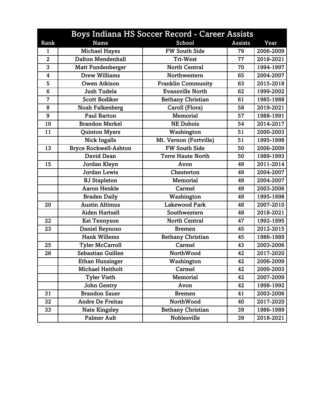| Rank                    | Name                         | School                    | <b>Assists</b> | Year      |
|-------------------------|------------------------------|---------------------------|----------------|-----------|
| 1                       | <b>Michael Hayes</b>         | <b>FW South Side</b>      | 79             | 2006-2009 |
| $\overline{2}$          | <b>Dalton Mendenhall</b>     | Tri-West                  | 77             | 2018-2021 |
| 3                       | <b>Matt Fundenberger</b>     | <b>North Central</b>      | 70             | 1994-1997 |
| $\overline{\mathbf{4}}$ | <b>Drew Williams</b>         | Northwestern              | 65             | 2004-2007 |
| 5                       | Owen Atkison                 | <b>Franklin Community</b> | 63             | 2015-2018 |
| $6\phantom{1}6$         | <b>Jush Tudela</b>           | <b>Evansville North</b>   | 62             | 1999-2002 |
| $\overline{7}$          | <b>Scott Bodiker</b>         | <b>Bethany Christian</b>  | 61             | 1985-1988 |
| 8                       | <b>Noah Falkenberg</b>       | Caroll (Flora)            | 58             | 2019-2021 |
| 9                       | <b>Paul Barton</b>           | <b>Memorial</b>           | 57             | 1988-1991 |
| 10                      | <b>Brandon Merkel</b>        | <b>NE Dubois</b>          | 54             | 2014-2017 |
| 11                      | <b>Quinton Myers</b>         | Washington                | 51             | 2000-2003 |
|                         | <b>Nick Ingalls</b>          | Mt. Vernon (Fortville)    | 51             | 1995-1998 |
| 13                      | <b>Bryce Rockwell-Ashton</b> | <b>FW South Side</b>      | 50             | 2006-2009 |
|                         | David Dean                   | <b>Terre Haute North</b>  | 50             | 1989-1993 |
| 15                      | Jordan Kleyn                 | Avon                      | 49             | 2011-2014 |
|                         | <b>Jordan Lewis</b>          | Chesterton                | 49             | 2004-2007 |
|                         | <b>BJ</b> Stapleton          | <b>Memorial</b>           | 49             | 2004-2007 |
|                         | <b>Aaron Henkle</b>          | Carmel                    | 49             | 2003-2006 |
|                         | <b>Braden Daily</b>          | Washington                | 49             | 1995-1998 |
| 20                      | <b>Austin Altimus</b>        | <b>Lakewood Park</b>      | 48             | 2007-2010 |
|                         | <b>Aiden Hartsell</b>        | Southwestern              | 48             | 2018-2021 |
| 22                      | Kei Tennyson                 | <b>North Central</b>      | 47             | 1992-1995 |
| 23                      | Daniel Reynoso               | <b>Bremen</b>             | 45             | 2012-2015 |
|                         | <b>Hank Willems</b>          | <b>Bethany Christian</b>  | 45             | 1986-1989 |
| 25                      | <b>Tyler McCarroll</b>       | Carmel                    | 43             | 2003-2006 |
| 26                      | Sebastian Guillen            | NorthWood                 | 42             | 2017-2020 |
|                         | <b>Ethan Hunsinger</b>       | Washington                | 42             | 2006-2009 |
|                         | Michael Heitholt             | Carmel                    | 42             | 2000-2003 |
|                         | <b>Tyler Vieth</b>           | <b>Memorial</b>           | 42             | 2007-2009 |
|                         | <b>John Gentry</b>           | Avon                      | 42             | 1998-1992 |
| 31                      | <b>Brandon Sauer</b>         | <b>Bremen</b>             | 41             | 2003-2006 |
| 32                      | Andre De Freitas             | NorthWood                 | 40             | 2017-2020 |
| 33                      | <b>Nate Kingsley</b>         | <b>Bethany Christian</b>  | 39             | 1986-1989 |
|                         | <b>Palmer Ault</b>           | Noblesville               | 39             | 2018-2021 |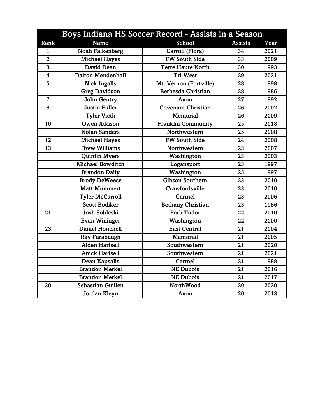| Rank           | <b>Name</b>              | School                    | <b>Assists</b> | Year |
|----------------|--------------------------|---------------------------|----------------|------|
| $\mathbf{1}$   | <b>Noah Falkenberg</b>   | Carroll (Flora)           | 34             | 2021 |
| $\overline{2}$ | <b>Michael Hayes</b>     | <b>FW South Side</b>      | 33             | 2009 |
| 3              | David Dean               | <b>Terre Haute North</b>  | 30             | 1993 |
| 4              | <b>Dalton Mendenhall</b> | <b>Tri-West</b>           | 29             | 2021 |
| 5              | <b>Nick Ingalls</b>      | Mt. Vernon (Fortville)    | 28             | 1998 |
|                | <b>Greg Davidson</b>     | <b>Bethesda Christian</b> | 28             | 1986 |
| $\overline{7}$ | <b>John Gentry</b>       | Avon                      | 27             | 1992 |
| 8              | <b>Justin Fuller</b>     | <b>Covenant Christian</b> | 26             | 2002 |
|                | <b>Tyler Vieth</b>       | <b>Memorial</b>           | 26             | 2009 |
| 10             | <b>Owen Atkison</b>      | <b>Franklin Community</b> | 25             | 2018 |
|                | <b>Nolan Sanders</b>     | <b>Northwestern</b>       | 25             | 2008 |
| 12             | <b>Michael Hayes</b>     | <b>FW South Side</b>      | 24             | 2008 |
| 13             | <b>Drew Williams</b>     | Northwestern              | 23             | 2007 |
|                | <b>Quintin Myers</b>     | Washington                | 23             | 2003 |
|                | <b>Michael Bowditch</b>  | Logansport                | 23             | 1997 |
|                | <b>Brandon Daily</b>     | Washington                | 23             | 1997 |
|                | <b>Brody DeWeese</b>     | <b>Gibson Southern</b>    | 23             | 2010 |
|                | <b>Matt Mummert</b>      | Crawfordsville            | 23             | 2010 |
|                | <b>Tyler McCarroll</b>   | Carmel                    | 23             | 2006 |
|                | <b>Scott Bodiker</b>     | <b>Bethany Christian</b>  | 23             | 1986 |
| 21             | Josh Sobleski            | <b>Park Tudor</b>         | 22             | 2010 |
|                | <b>Evan Wininger</b>     | Washington                | 22             | 2000 |
| 23             | <b>Daniel Honchell</b>   | <b>East Central</b>       | 21             | 2004 |
|                | Ray Farabaugh            | <b>Memorial</b>           | 21             | 2005 |
|                | <b>Aiden Hartsell</b>    | Southwestern              | 21             | 2020 |
|                | <b>Anick Hartsell</b>    | Southwestern              | 21             | 2021 |
|                | Dean Kapsalis            | Carmel                    | 21             | 1988 |
|                | <b>Brandon Merkel</b>    | <b>NE Dubois</b>          | 21             | 2016 |
|                | <b>Brandon Merkel</b>    | <b>NE Dubois</b>          | 21             | 2017 |
| 30             | Sebastian Guillen        | <b>NorthWood</b>          | 20             | 2020 |
|                | Jordan Kleyn             | Avon                      | 20             | 2013 |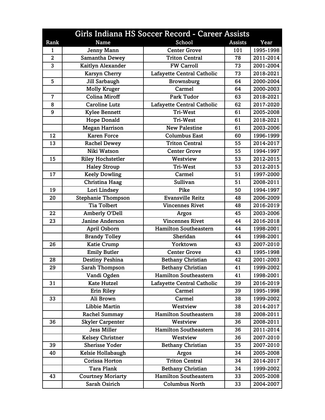|                | Girls Indiana HS Soccer Record - Career Assists |                              |                |           |  |  |
|----------------|-------------------------------------------------|------------------------------|----------------|-----------|--|--|
| Rank           | Name                                            | School                       | <b>Assists</b> | Year      |  |  |
| 1              | <b>Jenny Mann</b>                               | <b>Center Grove</b>          | 101            | 1995-1998 |  |  |
| $\overline{2}$ | Samantha Dewey                                  | <b>Triton Central</b>        | 78             | 2011-2014 |  |  |
| 3              | Kaitlyn Alexander                               | <b>FW Carroll</b>            | 73             | 2001-2004 |  |  |
|                | <b>Karsyn Cherry</b>                            | Lafayette Central Catholic   | 73             | 2018-2021 |  |  |
| 5              | Jill Sarbaugh                                   | <b>Brownsburg</b>            | 64             | 2000-2004 |  |  |
|                | <b>Molly Kruger</b>                             | Carmel                       | 64             | 2000-2003 |  |  |
| $\overline{7}$ | <b>Colina Miroff</b>                            | <b>Park Tudor</b>            | 63             | 2018-2021 |  |  |
| 8              | <b>Caroline Lutz</b>                            | Lafayette Central Catholic   | 62             | 2017-2020 |  |  |
| 9              | <b>Kylee Bennett</b>                            | Tri-West                     | 61             | 2005-2008 |  |  |
|                | <b>Hope Donald</b>                              | <b>Tri-West</b>              | 61             | 2018-2021 |  |  |
|                | <b>Megan Harrison</b>                           | <b>New Palestine</b>         | 61             | 2003-2006 |  |  |
| 12             | <b>Karen Force</b>                              | <b>Columbus East</b>         | 60             | 1996-1999 |  |  |
| 13             | <b>Rachel Dewey</b>                             | <b>Triton Central</b>        | 55             | 2014-2017 |  |  |
|                | Niki Watson                                     | <b>Center Grove</b>          | 55             | 1994-1997 |  |  |
| 15             | <b>Riley Hochstetler</b>                        | Westview                     | 53             | 2012-2015 |  |  |
|                | <b>Haley Stroup</b>                             | <b>Tri-West</b>              | 53             | 2012-2015 |  |  |
| 17             | <b>Keely Dowling</b>                            | Carmel                       | 51             | 1997-2000 |  |  |
|                | Christina Haag                                  | Sullivan                     | 51             | 2008-2011 |  |  |
| 19             | Lori Lindsey                                    | Pike                         | 50             | 1994-1997 |  |  |
| 20             | Stephanie Thompson                              | <b>Evansville Reitz</b>      | 48             | 2006-2009 |  |  |
|                | <b>Tia Tolbert</b>                              | <b>Vincennes Rivet</b>       | 48             | 2016-2019 |  |  |
| 22             | <b>Amberly O'Dell</b>                           | <b>Argos</b>                 | 45             | 2003-2006 |  |  |
| 23             | <b>Janine Anderson</b>                          | <b>Vincennes Rivet</b>       | 44             | 2016-2018 |  |  |
|                | April Osborn                                    | <b>Hamilton Southeastern</b> | 44             | 1998-2001 |  |  |
|                | <b>Brandy Tolley</b>                            | Sheridan                     | 44             | 1998-2001 |  |  |
| 26             | Katie Crump                                     | Yorktown                     | 43             | 2007-2010 |  |  |
|                | <b>Emily Butler</b>                             | <b>Center Grove</b>          | 43             | 1995-1998 |  |  |
| 28             | <b>Destiny Peshina</b>                          | <b>Bethany Christian</b>     | 42             | 2001-2003 |  |  |
| 29             | Sarah Thompson                                  | <b>Bethany Christian</b>     | 41             | 1999-2002 |  |  |
|                | Vandi Ogden                                     | <b>Hamilton Southeastern</b> | 41             | 1998-2001 |  |  |
| 31             | <b>Kate Hutzel</b>                              | Lafayette Central Catholic   | 39             | 2016-2019 |  |  |
|                | <b>Erin Riley</b>                               | Carmel                       | 39             | 1995-1998 |  |  |
| 33             | Ali Brown                                       | Carmel                       | 38             | 1999-2002 |  |  |
|                | <b>Libbie Martin</b>                            | Westview                     | 38             | 2014-2017 |  |  |
|                | <b>Rachel Summay</b>                            | <b>Hamilton Southeastern</b> | 38             | 2008-2011 |  |  |
| 36             | <b>Skyler Carpenter</b>                         | Westview                     | 36             | 2008-2011 |  |  |
|                | <b>Jess Miller</b>                              | <b>Hamilton Southeastern</b> | 36             | 2011-2014 |  |  |
|                | <b>Kelsey Christner</b>                         | Westview                     | 36             | 2007-2010 |  |  |
| 39             | <b>Sherisse Yoder</b>                           | <b>Bethany Christian</b>     | 35             | 2007-2010 |  |  |
| 40             | Kelsie Hollabaugh                               | Argos                        | 34             | 2005-2008 |  |  |
|                | Corissa Horton                                  | <b>Triton Central</b>        | 34             | 2014-2017 |  |  |
|                | <b>Tara Plank</b>                               | Bethany Christian            | 34             | 1999-2002 |  |  |
| 43             | <b>Courtney Moriarty</b>                        | <b>Hamilton Southeastern</b> | 33             | 2005-2008 |  |  |
|                | Sarah Osirich                                   | <b>Columbus North</b>        | 33             | 2004-2007 |  |  |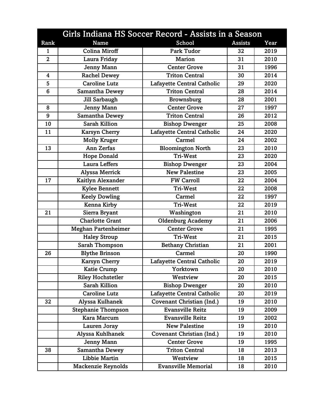|                | Girls Indiana HS Soccer Record - Assists in a Season |                                  |                |      |  |  |  |
|----------------|------------------------------------------------------|----------------------------------|----------------|------|--|--|--|
| Rank           | <b>Name</b>                                          | School                           | <b>Assists</b> | Year |  |  |  |
| 1              | <b>Colina Miroff</b>                                 | <b>Park Tudor</b>                | 32             | 2019 |  |  |  |
| $\overline{2}$ | Laura Friday                                         | Marion                           | 31             | 2010 |  |  |  |
|                | <b>Jenny Mann</b>                                    | <b>Center Grove</b>              | 31             | 1996 |  |  |  |
| 4              | <b>Rachel Dewey</b>                                  | <b>Triton Central</b>            | 30             | 2014 |  |  |  |
| 5              | <b>Caroline Lutz</b>                                 | Lafayette Central Catholic       | 29             | 2020 |  |  |  |
| 6              | <b>Samantha Dewey</b>                                | <b>Triton Central</b>            | 28             | 2014 |  |  |  |
|                | <b>Jill Sarbaugh</b>                                 | <b>Brownsburg</b>                | 28             | 2001 |  |  |  |
| 8              | <b>Jenny Mann</b>                                    | <b>Center Grove</b>              | 27             | 1997 |  |  |  |
| 9              | <b>Samantha Dewey</b>                                | <b>Triton Central</b>            | 26             | 2012 |  |  |  |
| 10             | <b>Sarah Killion</b>                                 | <b>Bishop Dwenger</b>            | 25             | 2008 |  |  |  |
| 11             | <b>Karsyn Cherry</b>                                 | Lafayette Central Catholic       | 24             | 2020 |  |  |  |
|                | <b>Molly Kruger</b>                                  | Carmel                           | 24             | 2002 |  |  |  |
| 13             | <b>Ann Zerfas</b>                                    | <b>Bloomington North</b>         | 23             | 2010 |  |  |  |
|                | <b>Hope Donald</b>                                   | <b>Tri-West</b>                  | 23             | 2020 |  |  |  |
|                | <b>Laura Leffers</b>                                 | <b>Bishop Dwenger</b>            | 23             | 2004 |  |  |  |
|                | <b>Alyssa Merrick</b>                                | <b>New Palestine</b>             | 23             | 2005 |  |  |  |
| 17             | <b>Kaitlyn Alexander</b>                             | <b>FW Carroll</b>                | 22             | 2004 |  |  |  |
|                | <b>Kylee Bennett</b>                                 | <b>Tri-West</b>                  | 22             | 2008 |  |  |  |
|                | <b>Keely Dowling</b>                                 | Carmel                           | 22             | 1997 |  |  |  |
|                | Kenna Kirby                                          | <b>Tri-West</b>                  | 22             | 2019 |  |  |  |
| 21             | Sierra Bryant                                        | Washington                       | 21             | 2010 |  |  |  |
|                | <b>Charlotte Grant</b>                               | <b>Oldenburg Academy</b>         | 21             | 2006 |  |  |  |
|                | <b>Meghan Partenheimer</b>                           | <b>Center Grove</b>              | 21             | 1995 |  |  |  |
|                | <b>Haley Stroup</b>                                  | <b>Tri-West</b>                  | 21             | 2015 |  |  |  |
|                | Sarah Thompson                                       | <b>Bethany Christian</b>         | 21             | 2001 |  |  |  |
| 26             | <b>Blythe Brinson</b>                                | Carmel                           | 20             | 1990 |  |  |  |
|                | <b>Karsyn Cherry</b>                                 | Lafayette Central Catholic       | 20             | 2019 |  |  |  |
|                | <b>Katie Crump</b>                                   | Yorktown                         | 20             | 2010 |  |  |  |
|                | <b>Riley Hochstetler</b>                             | Westview                         | 20             | 2015 |  |  |  |
|                | <b>Sarah Killion</b>                                 | <b>Bishop Dwenger</b>            | 20             | 2010 |  |  |  |
|                | <b>Caroline Lutz</b>                                 | Lafayette Central Catholic       | 20             | 2019 |  |  |  |
| 32             | Alyssa Kulhanek                                      | <b>Covenant Christian (Ind.)</b> | 19             | 2010 |  |  |  |
|                | <b>Stephanie Thompson</b>                            | <b>Evansville Reitz</b>          | 19             | 2009 |  |  |  |
|                | Kara Marcum                                          | <b>Evansville Reitz</b>          | 19             | 2002 |  |  |  |
|                | Lauren Joray                                         | <b>New Palestine</b>             | 19             | 2010 |  |  |  |
|                | Alyssa Kuhlhanek                                     | Covenant Christian (Ind.)        | 19             | 2010 |  |  |  |
|                | <b>Jenny Mann</b>                                    | <b>Center Grove</b>              | 19             | 1995 |  |  |  |
| 38             | <b>Samantha Dewey</b>                                | <b>Triton Central</b>            | 18             | 2013 |  |  |  |
|                | <b>Libbie Martin</b>                                 | Westview                         | 18             | 2015 |  |  |  |
|                | <b>Mackenzie Reynolds</b>                            | <b>Evansville Memorial</b>       | 18             | 2010 |  |  |  |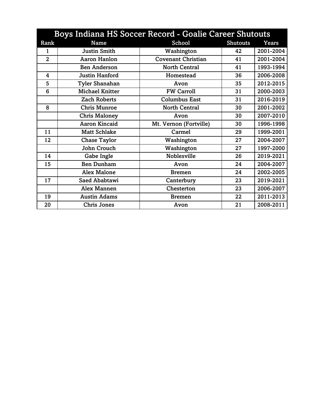|                | <b>Boys Indiana HS Soccer Record - Goalie Career Shutouts</b> |                           |                 |           |  |  |
|----------------|---------------------------------------------------------------|---------------------------|-----------------|-----------|--|--|
| Rank           | Name                                                          | School                    | <b>Shutouts</b> | Years     |  |  |
| 1              | <b>Justin Smith</b>                                           | Washington                | 42              | 2001-2004 |  |  |
| $\overline{2}$ | <b>Aaron Hanlon</b>                                           | <b>Covenant Christian</b> | 41              | 2001-2004 |  |  |
|                | <b>Ben Anderson</b>                                           | <b>North Central</b>      | 41              | 1993-1994 |  |  |
| 4              | <b>Justin Hanford</b>                                         | Homestead                 | 36              | 2006-2008 |  |  |
| 5              | <b>Tyler Shanahan</b>                                         | Avon                      | 35              | 2012-2015 |  |  |
| 6              | <b>Michael Knitter</b>                                        | <b>FW Carroll</b>         | 31              | 2000-2003 |  |  |
|                | <b>Zach Roberts</b>                                           | <b>Columbus East</b>      | 31              | 2016-2019 |  |  |
| 8              | <b>Chris Munroe</b>                                           | <b>North Central</b>      | 30              | 2001-2002 |  |  |
|                | <b>Chris Maloney</b>                                          | Avon                      | 30              | 2007-2010 |  |  |
|                | <b>Aaron Kincaid</b>                                          | Mt. Vernon (Fortville)    | 30              | 1996-1998 |  |  |
| 11             | <b>Matt Schlake</b>                                           | Carmel                    | 29              | 1999-2001 |  |  |
| 12             | <b>Chase Taylor</b>                                           | Washington                | 27              | 2004-2007 |  |  |
|                | John Crouch                                                   | Washington                | 27              | 1997-2000 |  |  |
| 14             | Gabe Ingle                                                    | Noblesville               | 26              | 2019-2021 |  |  |
| 15             | <b>Ben Dunham</b>                                             | Avon                      | 24              | 2004-2007 |  |  |
|                | <b>Alex Malone</b>                                            | <b>Bremen</b>             | 24              | 2002-2005 |  |  |
| 17             | Saed Ababtawi                                                 | Canterbury                | 23              | 2019-2021 |  |  |
|                | <b>Alex Mannen</b>                                            | Chesterton                | 23              | 2006-2007 |  |  |
| 19             | <b>Austin Adams</b>                                           | <b>Bremen</b>             | 22              | 2011-2013 |  |  |
| 20             | <b>Chris Jones</b>                                            | Avon                      | 21              | 2008-2011 |  |  |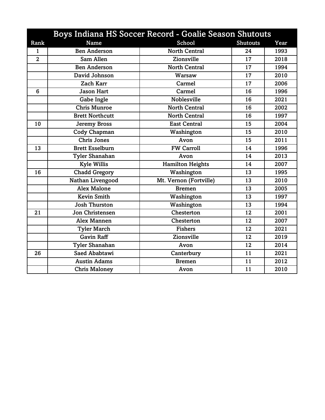|                | Boys Indiana HS Soccer Record - Goalie Season Shutouts |                         |                 |      |
|----------------|--------------------------------------------------------|-------------------------|-----------------|------|
| Rank           | Name                                                   | School                  | <b>Shutouts</b> | Year |
| $\mathbf{1}$   | <b>Ben Anderson</b>                                    | <b>North Central</b>    | 24              | 1993 |
| $\overline{2}$ | Sam Allen                                              | Zionsville              | 17              | 2018 |
|                | <b>Ben Anderson</b>                                    | <b>North Central</b>    | 17              | 1994 |
|                | David Johnson                                          | Warsaw                  | 17              | 2010 |
|                | <b>Zach Karr</b>                                       | Carmel                  | 17              | 2006 |
| 6              | <b>Jason Hart</b>                                      | Carmel                  | 16              | 1996 |
|                | Gabe Ingle                                             | <b>Noblesville</b>      | 16              | 2021 |
|                | <b>Chris Munroe</b>                                    | <b>North Central</b>    | 16              | 2002 |
|                | <b>Brett Northcutt</b>                                 | <b>North Central</b>    | 16              | 1997 |
| 10             | <b>Jeremy Bross</b>                                    | <b>East Central</b>     | 15              | 2004 |
|                | Cody Chapman                                           | Washington              | 15              | 2010 |
|                | <b>Chris Jones</b>                                     | Avon                    | 15              | 2011 |
| 13             | <b>Brett Esselburn</b>                                 | <b>FW Carroll</b>       | 14              | 1996 |
|                | <b>Tyler Shanahan</b>                                  | Avon                    | 14              | 2013 |
|                | <b>Kyle Willis</b>                                     | <b>Hamilton Heights</b> | 14              | 2007 |
| 16             | <b>Chadd Gregory</b>                                   | Washington              | 13              | 1995 |
|                | Nathan Livengood                                       | Mt. Vernon (Fortville)  | 13              | 2010 |
|                | <b>Alex Malone</b>                                     | <b>Bremen</b>           | 13              | 2005 |
|                | <b>Kevin Smith</b>                                     | Washington              | 13              | 1997 |
|                | <b>Josh Thurston</b>                                   | Washington              | 13              | 1994 |
| 21             | Jon Christensen                                        | Chesterton              | 12              | 2001 |
|                | <b>Alex Mannen</b>                                     | Chesterton              | 12              | 2007 |
|                | <b>Tyler March</b>                                     | <b>Fishers</b>          | 12              | 2021 |
|                | <b>Gavin Raff</b>                                      | Zionsville              | 12              | 2019 |
|                | <b>Tyler Shanahan</b>                                  | Avon                    | 12              | 2014 |
| 26             | <b>Saed Ababtawi</b>                                   | Canterbury              | 11              | 2021 |
|                | <b>Austin Adams</b>                                    | <b>Bremen</b>           | 11              | 2012 |
|                | <b>Chris Maloney</b>                                   | Avon                    | 11              | 2010 |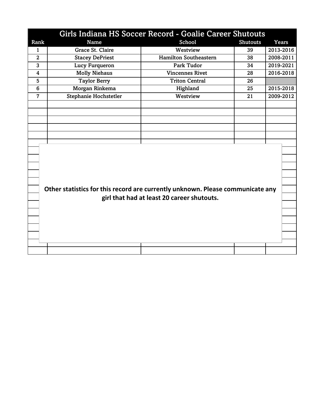|                 | Girls Indiana HS Soccer Record - Goalie Career Shutouts                        |                                            |                 |           |  |  |
|-----------------|--------------------------------------------------------------------------------|--------------------------------------------|-----------------|-----------|--|--|
| Rank            | <b>Name</b>                                                                    | School                                     | <b>Shutouts</b> | Years     |  |  |
| $\mathbf{1}$    | Grace St. Claire                                                               | Westview                                   | 39              | 2013-2016 |  |  |
| $\overline{2}$  | <b>Stacey DePriest</b>                                                         | <b>Hamilton Southeastern</b>               | 38              | 2008-2011 |  |  |
| 3               | <b>Lucy Furqueron</b>                                                          | <b>Park Tudor</b>                          | 34              | 2019-2021 |  |  |
| 4               | <b>Molly Niehaus</b>                                                           | <b>Vincennes Rivet</b>                     | 28              | 2016-2018 |  |  |
| 5               | <b>Taylor Berry</b>                                                            | <b>Triton Central</b>                      | 26              |           |  |  |
| $6\phantom{1}6$ | Morgan Rinkema                                                                 | Highland                                   | 25              | 2015-2018 |  |  |
| $\overline{7}$  | Stephanie Hochstetler                                                          | Westview                                   | 21              | 2009-2012 |  |  |
|                 |                                                                                |                                            |                 |           |  |  |
|                 |                                                                                |                                            |                 |           |  |  |
|                 |                                                                                |                                            |                 |           |  |  |
|                 |                                                                                |                                            |                 |           |  |  |
|                 |                                                                                |                                            |                 |           |  |  |
|                 |                                                                                |                                            |                 |           |  |  |
|                 |                                                                                |                                            |                 |           |  |  |
|                 |                                                                                |                                            |                 |           |  |  |
|                 |                                                                                |                                            |                 |           |  |  |
|                 |                                                                                |                                            |                 |           |  |  |
|                 |                                                                                |                                            |                 |           |  |  |
|                 | Other statistics for this record are currently unknown. Please communicate any |                                            |                 |           |  |  |
|                 |                                                                                | girl that had at least 20 career shutouts. |                 |           |  |  |
|                 |                                                                                |                                            |                 |           |  |  |
|                 |                                                                                |                                            |                 |           |  |  |
|                 |                                                                                |                                            |                 |           |  |  |
|                 |                                                                                |                                            |                 |           |  |  |
|                 |                                                                                |                                            |                 |           |  |  |
|                 |                                                                                |                                            |                 |           |  |  |
|                 |                                                                                |                                            |                 |           |  |  |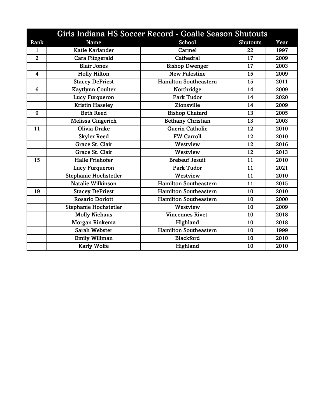|                | Girls Indiana HS Soccer Record - Goalie Season Shutouts |                              |                 |      |  |
|----------------|---------------------------------------------------------|------------------------------|-----------------|------|--|
| Rank           | <b>Name</b>                                             | School                       | <b>Shutouts</b> | Year |  |
| 1              | <b>Katie Karlander</b>                                  | Carmel                       | 22              | 1997 |  |
| $\overline{2}$ | Cara Fitzgerald                                         | Cathedral                    | 17              | 2009 |  |
|                | <b>Blair Jones</b>                                      | <b>Bishop Dwenger</b>        | 17              | 2003 |  |
| 4              | <b>Holly Hilton</b>                                     | <b>New Palestine</b>         | 15              | 2009 |  |
|                | <b>Stacey DePriest</b>                                  | <b>Hamilton Southeastern</b> | 15              | 2011 |  |
| 6              | <b>Kaytlynn Coulter</b>                                 | Northridge                   | 14              | 2009 |  |
|                | <b>Lucy Furqueron</b>                                   | <b>Park Tudor</b>            | 14              | 2020 |  |
|                | <b>Kristin Haseley</b>                                  | Zionsville                   | 14              | 2009 |  |
| 9              | <b>Beth Reed</b>                                        | <b>Bishop Chatard</b>        | 13              | 2005 |  |
|                | <b>Melissa Gingerich</b>                                | <b>Bethany Christian</b>     | 13              | 2003 |  |
| 11             | <b>Olivia Drake</b>                                     | <b>Guerin Catholic</b>       | 12              | 2010 |  |
|                | <b>Skyler Reed</b>                                      | <b>FW Carroll</b>            | 12              | 2010 |  |
|                | Grace St. Clair                                         | Westview                     | 12              | 2016 |  |
|                | Grace St. Clair                                         | Westview                     | 12              | 2013 |  |
| 15             | <b>Halle Friehofer</b>                                  | <b>Brebeuf Jesuit</b>        | 11              | 2010 |  |
|                | <b>Lucy Furqueron</b>                                   | <b>Park Tudor</b>            | 11              | 2021 |  |
|                | Stephanie Hochstetler                                   | Westview                     | 11              | 2010 |  |
|                | <b>Natalie Wilkinson</b>                                | <b>Hamilton Southeastern</b> | 11              | 2015 |  |
| 19             | <b>Stacey DePriest</b>                                  | <b>Hamilton Southeastern</b> | 10              | 2010 |  |
|                | <b>Rosario Doriott</b>                                  | <b>Hamilton Southeastern</b> | 10              | 2000 |  |
|                | <b>Stephanie Hochstetler</b>                            | Westview                     | 10              | 2009 |  |
|                | <b>Molly Niehaus</b>                                    | <b>Vincennes Rivet</b>       | 10              | 2018 |  |
|                | Morgan Rinkema                                          | Highland                     | 10              | 2018 |  |
|                | Sarah Webster                                           | <b>Hamilton Southeastern</b> | 10              | 1999 |  |
|                | <b>Emily Willman</b>                                    | <b>Blackford</b>             | 10              | 2010 |  |
|                | <b>Karly Wolfe</b>                                      | Highland                     | 10              | 2010 |  |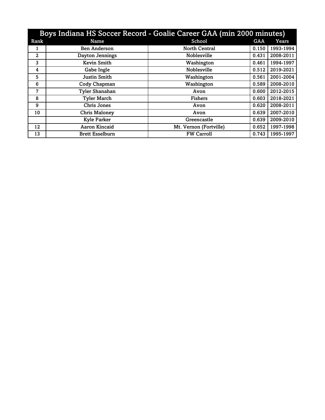| Boys Indiana HS Soccer Record - Goalie Career GAA (min 2000 minutes) |                        |                        |            |           |
|----------------------------------------------------------------------|------------------------|------------------------|------------|-----------|
| Rank                                                                 | Name                   | School                 | <b>GAA</b> | Years     |
| 1                                                                    | <b>Ben Anderson</b>    | <b>North Central</b>   | 0.150      | 1993-1994 |
| $\mathbf{2}$                                                         | Dayton Jennings        | <b>Noblesville</b>     | 0.431      | 2008-2011 |
| 3                                                                    | <b>Kevin Smith</b>     | Washington             | 0.461      | 1994-1997 |
| 4                                                                    | Gabe Ingle             | <b>Noblesville</b>     | 0.512      | 2019-2021 |
| 5                                                                    | <b>Justin Smith</b>    | Washington             | 0.561      | 2001-2004 |
| 6                                                                    | Cody Chapman           | Washington             | 0.589      | 2008-2010 |
| 7                                                                    | <b>Tyler Shanahan</b>  | Avon                   | 0.600      | 2012-2015 |
| 8                                                                    | <b>Tyler March</b>     | Fishers                | 0.603      | 2018-2021 |
| 9                                                                    | Chris Jones            | Avon                   | 0.620      | 2008-2011 |
| 10                                                                   | <b>Chris Maloney</b>   | Avon                   | 0.639      | 2007-2010 |
|                                                                      | <b>Kyle Parker</b>     | Greencastle            | 0.639      | 2009-2010 |
| 12                                                                   | Aaron Kincaid          | Mt. Vernon (Fortville) | 0.652      | 1997-1998 |
| 13                                                                   | <b>Brett Esselburn</b> | <b>FW Carroll</b>      | 0.743      | 1995-1997 |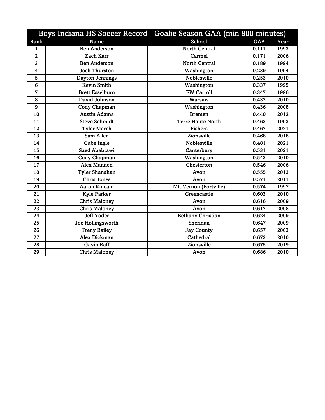| Boys Indiana HS Soccer Record - Goalie Season GAA (min 800 minutes) |                        |                          |       |      |
|---------------------------------------------------------------------|------------------------|--------------------------|-------|------|
| Rank                                                                | Name                   | School                   | GAA   | Year |
| 1                                                                   | <b>Ben Anderson</b>    | <b>North Central</b>     | 0.111 | 1993 |
| $\overline{2}$                                                      | Zach Karr              | Carmel                   | 0.171 | 2006 |
| 3                                                                   | <b>Ben Anderson</b>    | <b>North Central</b>     | 0.189 | 1994 |
| 4                                                                   | <b>Josh Thurston</b>   | Washington               | 0.239 | 1994 |
| 5                                                                   | <b>Dayton Jennings</b> | <b>Noblesville</b>       | 0.253 | 2010 |
| $\bf 6$                                                             | <b>Kevin Smith</b>     | Washington               | 0.337 | 1995 |
| $\overline{7}$                                                      | <b>Brett Esselburn</b> | <b>FW Carroll</b>        | 0.347 | 1996 |
| 8                                                                   | David Johnson          | Warsaw                   | 0.432 | 2010 |
| 9                                                                   | Cody Chapman           | Washington               | 0.436 | 2008 |
| 10                                                                  | <b>Austin Adams</b>    | <b>Bremen</b>            | 0.440 | 2012 |
| 11                                                                  | <b>Steve Schmidt</b>   | <b>Terre Haute North</b> | 0.463 | 1993 |
| 12                                                                  | <b>Tyler March</b>     | <b>Fishers</b>           | 0.467 | 2021 |
| 13                                                                  | Sam Allen              | Zionsville               | 0.468 | 2018 |
| 14                                                                  | Gabe Ingle             | Noblesville              | 0.481 | 2021 |
| 15                                                                  | Saed Ababtawi          | Canterbury               | 0.531 | 2021 |
| 16                                                                  | Cody Chapman           | Washington               | 0.543 | 2010 |
| 17                                                                  | <b>Alex Mannen</b>     | Chesterton               | 0.546 | 2006 |
| 18                                                                  | <b>Tyler Shanahan</b>  | Avon                     | 0.555 | 2013 |
| 19                                                                  | <b>Chris Jones</b>     | Avon                     | 0.571 | 2011 |
| 20                                                                  | <b>Aaron Kincaid</b>   | Mt. Vernon (Fortville)   | 0.574 | 1997 |
| 21                                                                  | <b>Kyle Parker</b>     | Greencastle              | 0.603 | 2010 |
| 22                                                                  | <b>Chris Maloney</b>   | Avon                     | 0.616 | 2009 |
| 23                                                                  | Chris Maloney          | Avon                     | 0.617 | 2008 |
| 24                                                                  | <b>Jeff Yoder</b>      | <b>Bethany Christian</b> | 0.624 | 2009 |
| 25                                                                  | Joe Hollingsworth      | Sheridan                 | 0.647 | 2009 |
| 26                                                                  | <b>Treny Bailey</b>    | <b>Jay County</b>        | 0.657 | 2003 |
| 27                                                                  | <b>Alex Dickman</b>    | Cathedral                | 0.673 | 2010 |
| 28                                                                  | <b>Gavin Raff</b>      | Zionsville               | 0.675 | 2019 |
| 29                                                                  | <b>Chris Maloney</b>   | Avon                     | 0.686 | 2010 |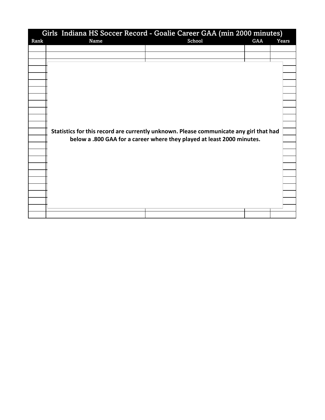|      | Girls Indiana HS Soccer Record - Goalie Career GAA (min 2000 minutes)                                                                                            |        |     |       |  |  |  |
|------|------------------------------------------------------------------------------------------------------------------------------------------------------------------|--------|-----|-------|--|--|--|
| Rank | Name                                                                                                                                                             | School | GAA | Years |  |  |  |
|      |                                                                                                                                                                  |        |     |       |  |  |  |
|      |                                                                                                                                                                  |        |     |       |  |  |  |
|      |                                                                                                                                                                  |        |     |       |  |  |  |
|      |                                                                                                                                                                  |        |     |       |  |  |  |
|      |                                                                                                                                                                  |        |     |       |  |  |  |
|      |                                                                                                                                                                  |        |     |       |  |  |  |
|      |                                                                                                                                                                  |        |     |       |  |  |  |
|      |                                                                                                                                                                  |        |     |       |  |  |  |
|      |                                                                                                                                                                  |        |     |       |  |  |  |
|      |                                                                                                                                                                  |        |     |       |  |  |  |
|      |                                                                                                                                                                  |        |     |       |  |  |  |
|      |                                                                                                                                                                  |        |     |       |  |  |  |
|      | Statistics for this record are currently unknown. Please communicate any girl that had<br>below a .800 GAA for a career where they played at least 2000 minutes. |        |     |       |  |  |  |
|      |                                                                                                                                                                  |        |     |       |  |  |  |
|      |                                                                                                                                                                  |        |     |       |  |  |  |
|      |                                                                                                                                                                  |        |     |       |  |  |  |
|      |                                                                                                                                                                  |        |     |       |  |  |  |
|      |                                                                                                                                                                  |        |     |       |  |  |  |
|      |                                                                                                                                                                  |        |     |       |  |  |  |
|      |                                                                                                                                                                  |        |     |       |  |  |  |
|      |                                                                                                                                                                  |        |     |       |  |  |  |
|      |                                                                                                                                                                  |        |     |       |  |  |  |
|      |                                                                                                                                                                  |        |     |       |  |  |  |
|      |                                                                                                                                                                  |        |     |       |  |  |  |
|      |                                                                                                                                                                  |        |     |       |  |  |  |